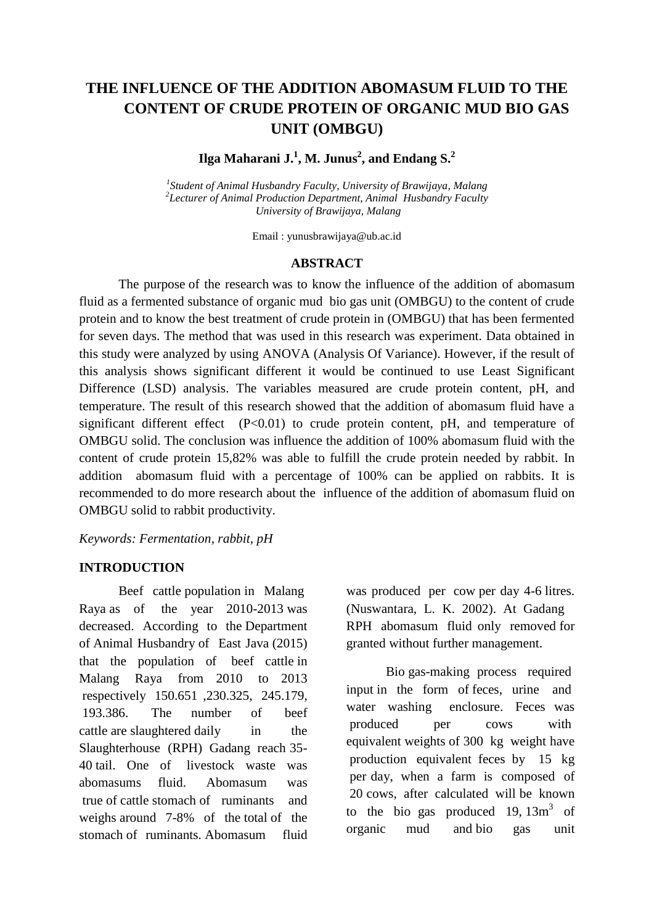# **THE INFLUENCE OF THE ADDITION ABOMASUM FLUID TO THE CONTENT OF CRUDE PROTEIN OF ORGANIC MUD BIO GAS UNIT (OMBGU)**

**Ilga Maharani J. 1 , M. Junus<sup>2</sup> , and Endang S.<sup>2</sup>**

*1 Student of Animal Husbandry Faculty, University of Brawijaya, Malang 2 Lecturer of Animal Production Department, Animal Husbandry Faculty University of Brawijaya, Malang*

Email : yunusbrawijaya@ub.ac.id

#### **ABSTRACT**

The purpose of the research was to know the influence of the addition of abomasum fluid as a fermented substance of organic mud bio gas unit (OMBGU) to the content of crude protein and to know the best treatment of crude protein in (OMBGU) that has been fermented for seven days. The method that was used in this research was experiment. Data obtained in this study were analyzed by using ANOVA (Analysis Of Variance). However, if the result of this analysis shows significant different it would be continued to use Least Significant Difference (LSD) analysis. The variables measured are crude protein content, pH, and temperature. The result of this research showed that the addition of abomasum fluid have a significant different effect (P<0.01) to crude protein content, pH, and temperature of OMBGU solid. The conclusion was influence the addition of 100% abomasum fluid with the content of crude protein 15,82% was able to fulfill the crude protein needed by rabbit. In addition abomasum fluid with a percentage of 100% can be applied on rabbits. It is recommended to do more research about the influence of the addition of abomasum fluid on OMBGU solid to rabbit productivity.

*Keywords: Fermentation, rabbit, pH*

#### **INTRODUCTION**

Beef cattle population in Malang Raya as of the year 2010-2013 was decreased. According to the Department of Animal Husbandry of East Java (2015) that the population of beef cattle in Malang Raya from 2010 to 2013 respectively 150.651 ,230.325, 245.179, 193.386. The number of beef cattle are slaughtered daily in the Slaughterhouse (RPH) Gadang reach 35- 40 tail. One of livestock waste was abomasums fluid. Abomasum was true of cattle stomach of ruminants and weighs around 7-8% of the total of the stomach of ruminants. Abomasum fluid

was produced per cow per day 4-6 litres. (Nuswantara, L. K. 2002). At Gadang RPH abomasum fluid only removed for granted without further management.

Bio gas-making process required input in the form of feces, urine and water washing enclosure. Feces was produced per cows with equivalent weights of 300 kg weight have production equivalent feces by 15 kg per day, when a farm is composed of 20 cows, after calculated will be known to the bio gas produced  $19, 13m<sup>3</sup>$  of organic mud and bio gas unit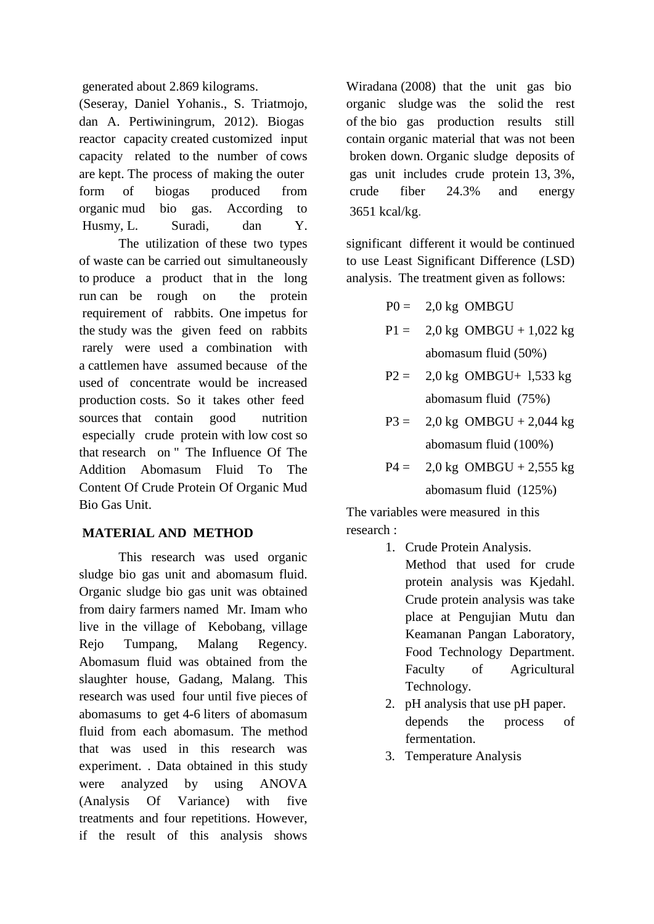generated about 2.869 kilograms.

(Seseray, Daniel Yohanis., S. Triatmojo, dan A. Pertiwiningrum, 2012). Biogas reactor capacity created customized input capacity related to the number of cows are kept. The process of making the outer form of biogas produced from organic mud bio gas. According to Husmy, L. Suradi, dan Y.

The utilization of these two types of waste can be carried out simultaneously to produce a product that in the long run can be rough on the protein requirement of rabbits. One impetus for the study was the given feed on rabbits rarely were used a combination with a cattlemen have assumed because of the used of concentrate would be increased production costs. So it takes other feed sources that contain good nutrition especially crude protein with low cost so that research on " The Influence Of The Addition Abomasum Fluid To The Content Of Crude Protein Of Organic Mud Bio Gas Unit.

### **MATERIAL AND METHOD**

This research was used organic sludge bio gas unit and abomasum fluid. Organic sludge bio gas unit was obtained from dairy farmers named Mr. Imam who live in the village of Kebobang, village Rejo Tumpang, Malang Regency. Abomasum fluid was obtained from the slaughter house, Gadang, Malang. This research was used four until five pieces of abomasums to get 4-6 liters of abomasum fluid from each abomasum. The method that was used in this research was experiment. . Data obtained in this study were analyzed by using ANOVA (Analysis Of Variance) with five treatments and four repetitions. However, if the result of this analysis shows

Wiradana (2008) that the unit gas bio organic sludge was the solid the rest of the bio gas production results still contain organic material that was not been broken down. Organic sludge deposits of gas unit includes crude protein 13, 3%, crude fiber 24.3% and energy 3651 kcal/kg.

significant different it would be continued to use Least Significant Difference (LSD) analysis. The treatment given as follows:

- $P0 = 2.0$  kg OMBGU
- $P1 = 2.0 \text{ kg}$  OMBGU + 1,022 kg abomasum fluid (50%)
- $P2 = 2,0$  kg OMBGU+ 1,533 kg abomasum fluid (75%)
- $P3 = 2,0$  kg OMBGU + 2,044 kg abomasum fluid (100%)
- $P4 = 2,0$  kg OMBGU + 2,555 kg abomasum fluid (125%)

The variables were measured in this research :

- 1. Crude Protein Analysis. Method that used for crude protein analysis was Kjedahl. Crude protein analysis was take place at Pengujian Mutu dan Keamanan Pangan Laboratory, Food Technology Department. Faculty of Agricultural Technology.
- 2. pH analysis that use pH paper. depends the process of fermentation.
- 3. Temperature Analysis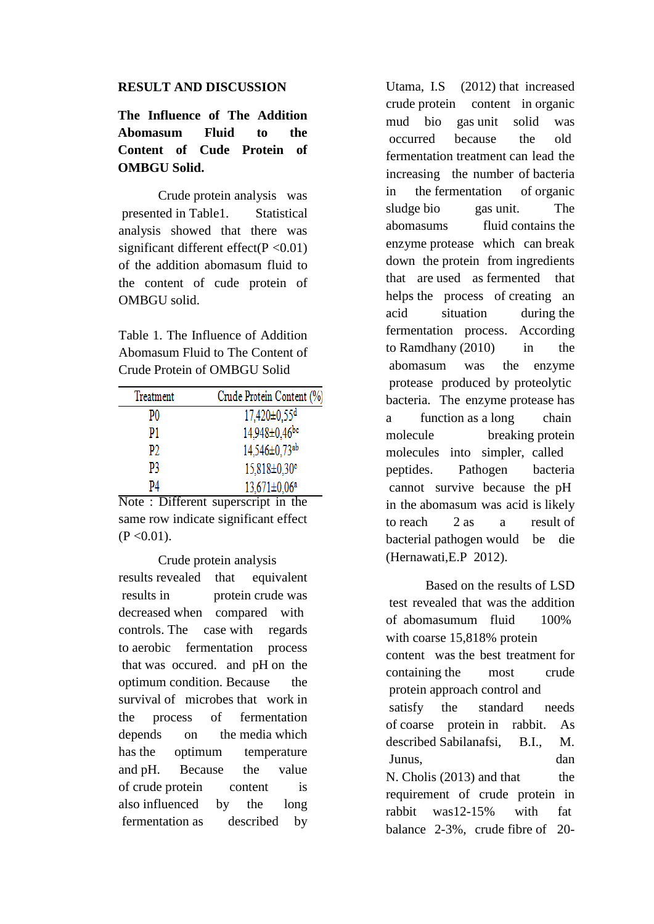#### **RESULT AND DISCUSSION**

# **The Influence of The Addition Abomasum Fluid to the Content of Cude Protein of OMBGU Solid.**

Crude protein analysis was presented in Table1. Statistical analysis showed that there was significant different effect( $P < 0.01$ ) of the addition abomasum fluid to the content of cude protein of OMBGU solid.

Table 1. The Influence of Addition Abomasum Fluid to The Content of Crude Protein of OMBGU Solid

| Treatment | Crude Protein Content (%)      |
|-----------|--------------------------------|
| P0        | $17,420 \pm 0.55$ <sup>d</sup> |
| P1        | 14,948±0,46bc                  |
| P2        | 14,546±0.73ab                  |
| P3        | 15,818±0,30 <sup>c</sup>       |
| D4        | $13.671 \pm 0.06^a$            |

Note : Different superscript in the same row indicate significant effect  $(P < 0.01)$ .

Crude protein analysis results revealed that equivalent results in protein crude was decreased when compared with controls. The case with regards to aerobic fermentation process that was occured. and pH on the optimum condition. Because the survival of microbes that work in the process of fermentation depends on the media which has the optimum temperature and pH. Because the value of crude protein content is also influenced by the long fermentation as described by

Utama, I.S (2012) that increased crude protein content in organic mud bio gas unit solid was occurred because the old fermentation treatment can lead the increasing the number of bacteria in the fermentation of organic sludge bio gas unit. The abomasums fluid contains the enzyme protease which can break down the protein from ingredients that are used as fermented that helps the process of creating an acid situation during the fermentation process. According to Ramdhany (2010) in the abomasum was the enzyme protease produced by proteolytic bacteria. The enzyme protease has a function as a long chain molecule breaking protein molecules into simpler, called peptides. Pathogen bacteria cannot survive because the pH in the abomasum was acid is likely to reach 2 as a result of bacterial pathogen would be die (Hernawati,E.P 2012).

Based on the results of LSD test revealed that was the addition of abomasumum fluid 100% with coarse 15,818% protein content was the best treatment for containing the most crude protein approach control and satisfy the standard needs of coarse protein in rabbit. As described Sabilanafsi, B.I., M. Junus, dan N. Cholis (2013) and that the requirement of crude protein in rabbit was12-15% with fat balance 2-3%, crude fibre of 20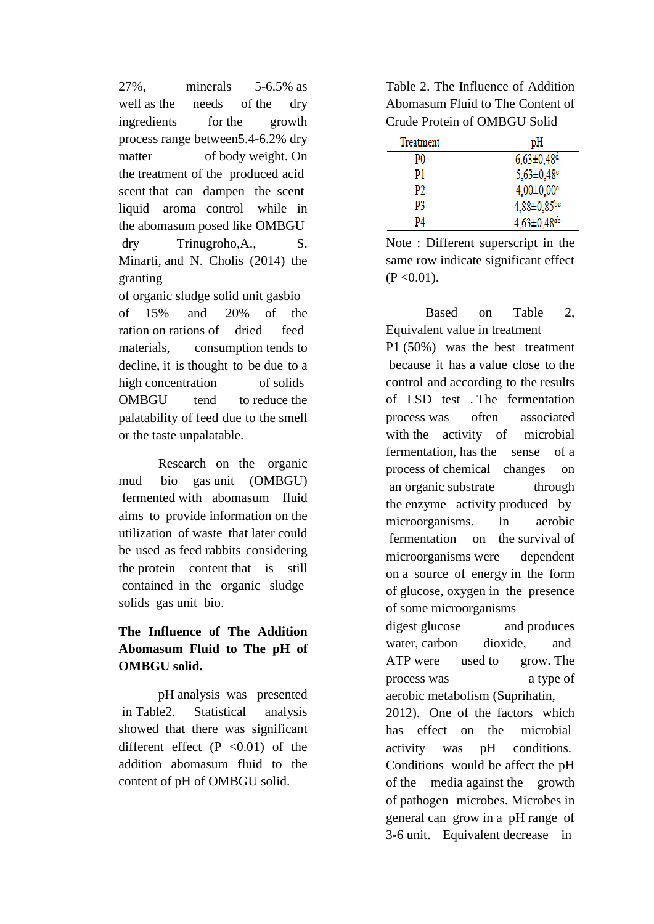27%, minerals 5-6.5% as well as the needs of the dry ingredients for the growth process range between5.4-6.2% dry matter of body weight. On the treatment of the produced acid scent that can dampen the scent liquid aroma control while in the abomasum posed like OMBGU dry Trinugroho,A., S. Minarti, and N. Cholis (2014) the granting

of organic sludge solid unit gasbio of 15% and 20% of the ration on rations of dried feed materials, consumption tends to decline, it is thought to be due to a high concentration of solids OMBGU tend to reduce the palatability of feed due to the smell or the taste unpalatable.

Research on the organic mud bio gas unit (OMBGU) fermented with abomasum fluid aims to provide information on the utilization of waste that later could be used as feed rabbits considering the protein content that is still contained in the organic sludge solids gas unit bio.

# **The Influence of The Addition Abomasum Fluid to The pH of OMBGU solid.**

pH analysis was presented in Table2. Statistical analysis showed that there was significant different effect  $(P \le 0.01)$  of the addition abomasum fluid to the content of pH of OMBGU solid.

Table 2. The Influence of Addition Abomasum Fluid to The Content of Crude Protein of OMBGU Solid

| Treatment | рH                            |
|-----------|-------------------------------|
| P0        | $6,63\pm0,48$ <sup>d</sup>    |
| P1        | 5,63±0,48 <sup>c</sup>        |
| P2        | $4.00 \pm 0.00$ <sup>a</sup>  |
| P3        | 4,88±0,85bc                   |
| P4        | $4.63 \pm 0.48$ <sup>ab</sup> |

Note : Different superscript in the same row indicate significant effect  $(P < 0.01)$ .

Based on Table 2, Equivalent value in treatment P1 (50%) was the best treatment because it has a value close to the control and according to the results of LSD test . The fermentation process was often associated with the activity of microbial fermentation, has the sense of a process of chemical changes on an organic substrate through the enzyme activity produced by microorganisms. In aerobic fermentation on the survival of microorganisms were dependent on a source of energy in the form of glucose, oxygen in the presence of some microorganisms digest glucose and produces water, carbon dioxide, and ATP were used to grow. The process was a type of aerobic metabolism (Suprihatin, 2012). One of the factors which has effect on the microbial activity was pH conditions. Conditions would be affect the pH of the media against the growth of pathogen microbes. Microbes in general can grow in a pH range of 3-6 unit. Equivalent decrease in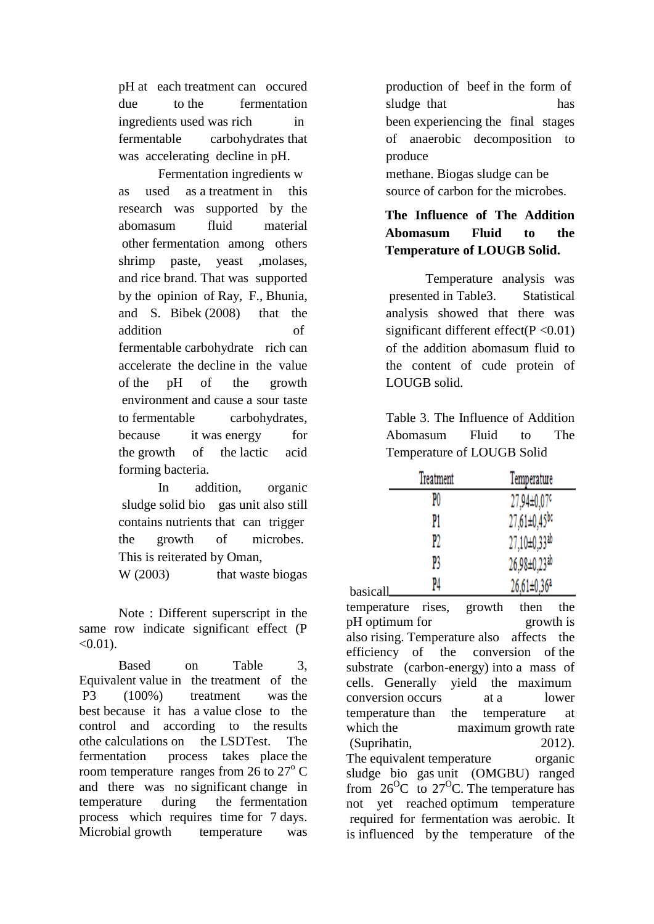pH at each treatment can occured due to the fermentation ingredients used was rich in fermentable carbohydrates that was accelerating decline in pH.

Fermentation ingredients w as used as a treatment in this research was supported by the abomasum fluid material other fermentation among others shrimp paste, yeast ,molases, and rice brand. That was supported by the opinion of Ray, F., Bhunia, and S. Bibek (2008) that the addition of fermentable carbohydrate rich can accelerate the decline in the value of the pH of the growth environment and cause a sour taste to fermentable carbohydrates, because it was energy for the growth of the lactic acid forming bacteria.

In addition, organic sludge solid bio gas unit also still contains nutrients that can trigger the growth of microbes. This is reiterated by Oman, W (2003) that waste biogas

Note : Different superscript in the same row indicate significant effect (P  $< 0.01$ ).

Based on Table 3, Equivalent value in the treatment of the P3 (100%) treatment was the best because it has a value close to the control and according to the results othe calculations on the LSDTest. The fermentation process takes place the room temperature ranges from 26 to  $27^{\circ}$  C and there was no significant change in temperature during the fermentation process which requires time for 7 days. Microbial growth temperature was

production of beef in the form of sludge that has been experiencing the final stages of anaerobic decomposition to produce methane. Biogas sludge can be source of carbon for the microbes.

# **The Influence of The Addition Abomasum Fluid to the Temperature of LOUGB Solid.**

Temperature analysis was presented in Table3. Statistical analysis showed that there was significant different effect( $P < 0.01$ ) of the addition abomasum fluid to the content of cude protein of LOUGB solid.

Table 3. The Influence of Addition Abomasum Fluid to The Temperature of LOUGB Solid

|          | Treatment | Temperature         |
|----------|-----------|---------------------|
|          | PO        | 27,94±0,07°         |
|          | P1        | $27,61\pm0,45^{bc}$ |
|          | P2        | 27,10±0,33ab        |
|          | P3        | 26.98±0.23ab        |
| basicall | P4        | 26,61±0,36ª         |

temperature rises, growth then the pH optimum for growth is also rising. Temperature also affects the efficiency of the conversion of the substrate (carbon-energy) into a mass of cells. Generally yield the maximum conversion occurs at a lower temperature than the temperature at which the maximum growth rate (Suprihatin, 2012). The equivalent temperature organic sludge bio gas unit (OMGBU) ranged from  $26^{\circ}$ C to  $27^{\circ}$ C. The temperature has not yet reached optimum temperature required for fermentation was aerobic. It is influenced by the temperature of the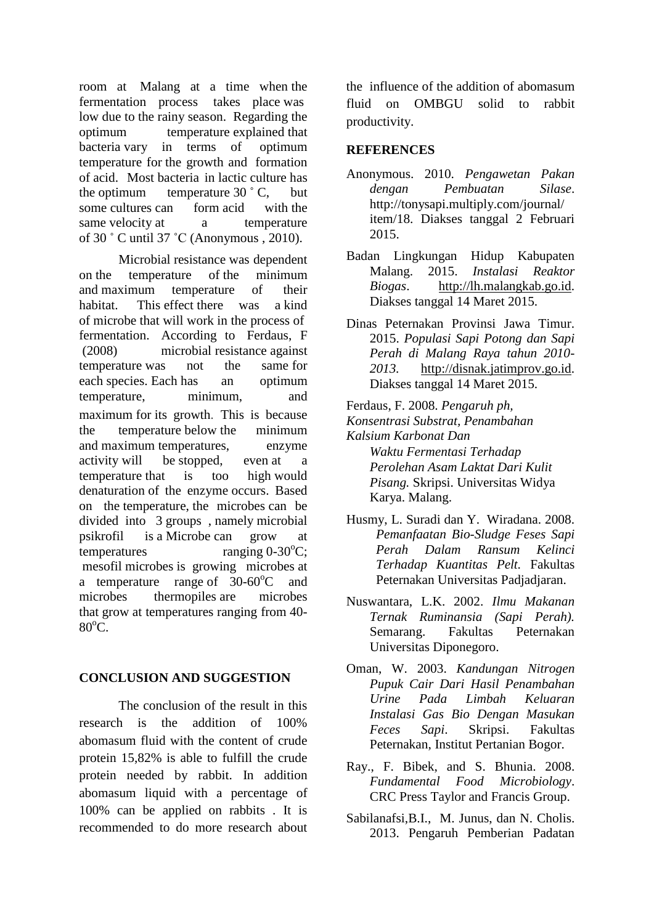room at Malang at a time when the fermentation process takes place was low due to the rainy season. Regarding the optimum temperature explained that bacteria vary in terms of optimum temperature for the growth and formation of acid. Most bacteria in lactic culture has the optimum temperature  $30\degree$  C, but some cultures can form acid with the same velocity at a temperature of 30 ˚ C until 37 ˚C (Anonymous , 2010).

Microbial resistance was dependent on the temperature of the minimum and maximum temperature of their habitat. This effect there was a kind of microbe that will work in the process of fermentation. According to Ferdaus, F (2008) microbial resistance against temperature was not the same for each species. Each has an optimum temperature, minimum, and maximum for its growth. This is because the temperature below the minimum and maximum temperatures, enzyme activity will be stopped, even at a temperature that is too high would denaturation of the enzyme occurs. Based on the temperature, the microbes can be divided into 3 groups , namely microbial psikrofil is a Microbe can grow at temperatures ranging  $0-30^{\circ}\text{C}$ ; mesofil microbes is growing microbes at a temperature range of  $30-60^{\circ}$ C and microbes thermopiles are microbes that grow at temperatures ranging from 40-  $80^{\circ}$ C.

### **CONCLUSION AND SUGGESTION**

The conclusion of the result in this research is the addition of 100% abomasum fluid with the content of crude protein 15,82% is able to fulfill the crude protein needed by rabbit. In addition abomasum liquid with a percentage of 100% can be applied on rabbits . It is recommended to do more research about the influence of the addition of abomasum fluid on OMBGU solid to rabbit productivity.

### **REFERENCES**

- Anonymous. 2010. *Pengawetan Pakan dengan Pembuatan Silase*. http://tonysapi.multiply.com/journal/ item/18. Diakses tanggal 2 Februari 2015.
- Badan Lingkungan Hidup Kabupaten Malang. 2015. *Instalasi Reaktor Biogas*. [http://lh.malangkab.go.id.](http://lh.malangkab.go.id/) Diakses tanggal 14 Maret 2015.
- Dinas Peternakan Provinsi Jawa Timur. 2015. *Populasi Sapi Potong dan Sapi Perah di Malang Raya tahun 2010- 2013.* [http://disnak.jatimprov.go.id.](http://disnak.jatimprov.go.id/) Diakses tanggal 14 Maret 2015.
- Ferdaus, F. 2008. *Pengaruh ph,*

*Konsentrasi Substrat, Penambahan Kalsium Karbonat Dan Waktu Fermentasi Terhadap* 

*Perolehan Asam Laktat Dari Kulit Pisang.* Skripsi. Universitas Widya Karya. Malang.

- Husmy, L. Suradi dan Y. Wiradana. 2008. *Pemanfaatan Bio-Sludge Feses Sapi Perah Dalam Ransum Kelinci Terhadap Kuantitas Pelt.* Fakultas Peternakan Universitas Padjadjaran.
- Nuswantara, L.K. 2002. *Ilmu Makanan Ternak Ruminansia (Sapi Perah).*  Semarang. Fakultas Peternakan Universitas Diponegoro.
- Oman, W. 2003. *Kandungan Nitrogen Pupuk Cair Dari Hasil Penambahan Urine Pada Limbah Keluaran Instalasi Gas Bio Dengan Masukan Feces Sapi*. Skripsi. Fakultas Peternakan, Institut Pertanian Bogor.
- Ray., F. Bibek, and S. Bhunia. 2008. *Fundamental Food Microbiology*. CRC Press Taylor and Francis Group.
- Sabilanafsi,B.I., M. Junus, dan N. Cholis. 2013. Pengaruh Pemberian Padatan